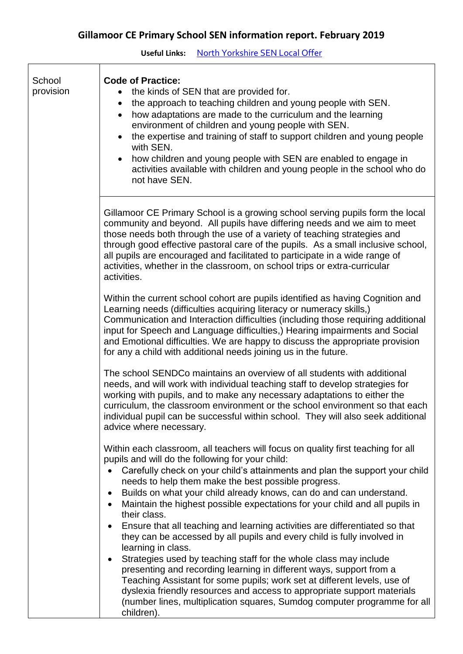**Useful Links:** [North Yorkshire SEN Local Offer](http://www.northyorks.gov.uk/article/23542/SEND---local-offer)

| School<br>provision | <b>Code of Practice:</b><br>the kinds of SEN that are provided for.<br>the approach to teaching children and young people with SEN.<br>$\bullet$<br>how adaptations are made to the curriculum and the learning<br>environment of children and young people with SEN.<br>the expertise and training of staff to support children and young people<br>with SEN.<br>how children and young people with SEN are enabled to engage in<br>activities available with children and young people in the school who do<br>not have SEN.                                                                                                                                                                                                                                                                                                                                                                                                                                                                                                             |
|---------------------|--------------------------------------------------------------------------------------------------------------------------------------------------------------------------------------------------------------------------------------------------------------------------------------------------------------------------------------------------------------------------------------------------------------------------------------------------------------------------------------------------------------------------------------------------------------------------------------------------------------------------------------------------------------------------------------------------------------------------------------------------------------------------------------------------------------------------------------------------------------------------------------------------------------------------------------------------------------------------------------------------------------------------------------------|
|                     | Gillamoor CE Primary School is a growing school serving pupils form the local<br>community and beyond. All pupils have differing needs and we aim to meet<br>those needs both through the use of a variety of teaching strategies and<br>through good effective pastoral care of the pupils. As a small inclusive school,<br>all pupils are encouraged and facilitated to participate in a wide range of<br>activities, whether in the classroom, on school trips or extra-curricular<br>activities.                                                                                                                                                                                                                                                                                                                                                                                                                                                                                                                                       |
|                     | Within the current school cohort are pupils identified as having Cognition and<br>Learning needs (difficulties acquiring literacy or numeracy skills,)<br>Communication and Interaction difficulties (including those requiring additional<br>input for Speech and Language difficulties,) Hearing impairments and Social<br>and Emotional difficulties. We are happy to discuss the appropriate provision<br>for any a child with additional needs joining us in the future.                                                                                                                                                                                                                                                                                                                                                                                                                                                                                                                                                              |
|                     | The school SENDCo maintains an overview of all students with additional<br>needs, and will work with individual teaching staff to develop strategies for<br>working with pupils, and to make any necessary adaptations to either the<br>curriculum, the classroom environment or the school environment so that each<br>individual pupil can be successful within school. They will also seek additional<br>advice where necessary.                                                                                                                                                                                                                                                                                                                                                                                                                                                                                                                                                                                                        |
|                     | Within each classroom, all teachers will focus on quality first teaching for all<br>pupils and will do the following for your child:<br>Carefully check on your child's attainments and plan the support your child<br>needs to help them make the best possible progress.<br>Builds on what your child already knows, can do and can understand.<br>Maintain the highest possible expectations for your child and all pupils in<br>their class.<br>Ensure that all teaching and learning activities are differentiated so that<br>$\bullet$<br>they can be accessed by all pupils and every child is fully involved in<br>learning in class.<br>Strategies used by teaching staff for the whole class may include<br>presenting and recording learning in different ways, support from a<br>Teaching Assistant for some pupils; work set at different levels, use of<br>dyslexia friendly resources and access to appropriate support materials<br>(number lines, multiplication squares, Sumdog computer programme for all<br>children). |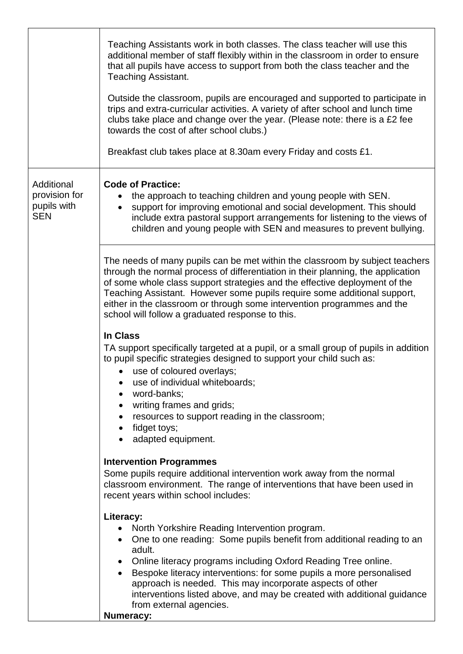|                                                          | Teaching Assistants work in both classes. The class teacher will use this<br>additional member of staff flexibly within in the classroom in order to ensure<br>that all pupils have access to support from both the class teacher and the<br><b>Teaching Assistant.</b><br>Outside the classroom, pupils are encouraged and supported to participate in<br>trips and extra-curricular activities. A variety of after school and lunch time<br>clubs take place and change over the year. (Please note: there is a £2 fee<br>towards the cost of after school clubs.)<br>Breakfast club takes place at 8.30am every Friday and costs £1. |
|----------------------------------------------------------|-----------------------------------------------------------------------------------------------------------------------------------------------------------------------------------------------------------------------------------------------------------------------------------------------------------------------------------------------------------------------------------------------------------------------------------------------------------------------------------------------------------------------------------------------------------------------------------------------------------------------------------------|
| Additional<br>provision for<br>pupils with<br><b>SEN</b> | <b>Code of Practice:</b><br>the approach to teaching children and young people with SEN.<br>support for improving emotional and social development. This should<br>include extra pastoral support arrangements for listening to the views of<br>children and young people with SEN and measures to prevent bullying.                                                                                                                                                                                                                                                                                                                    |
|                                                          | The needs of many pupils can be met within the classroom by subject teachers<br>through the normal process of differentiation in their planning, the application<br>of some whole class support strategies and the effective deployment of the<br>Teaching Assistant. However some pupils require some additional support,<br>either in the classroom or through some intervention programmes and the<br>school will follow a graduated response to this.                                                                                                                                                                               |
|                                                          | In Class<br>TA support specifically targeted at a pupil, or a small group of pupils in addition<br>to pupil specific strategies designed to support your child such as:<br>• use of coloured overlays;<br>use of individual whiteboards;<br>word-banks;<br>$\bullet$<br>writing frames and grids;<br>resources to support reading in the classroom;<br>$\bullet$<br>fidget toys;<br>adapted equipment.                                                                                                                                                                                                                                  |
|                                                          | <b>Intervention Programmes</b><br>Some pupils require additional intervention work away from the normal<br>classroom environment. The range of interventions that have been used in<br>recent years within school includes:                                                                                                                                                                                                                                                                                                                                                                                                             |
|                                                          | Literacy:<br>North Yorkshire Reading Intervention program.<br>$\bullet$<br>One to one reading: Some pupils benefit from additional reading to an<br>adult.<br>Online literacy programs including Oxford Reading Tree online.<br>Bespoke literacy interventions: for some pupils a more personalised<br>approach is needed. This may incorporate aspects of other<br>interventions listed above, and may be created with additional guidance<br>from external agencies.<br><b>Numeracy:</b>                                                                                                                                              |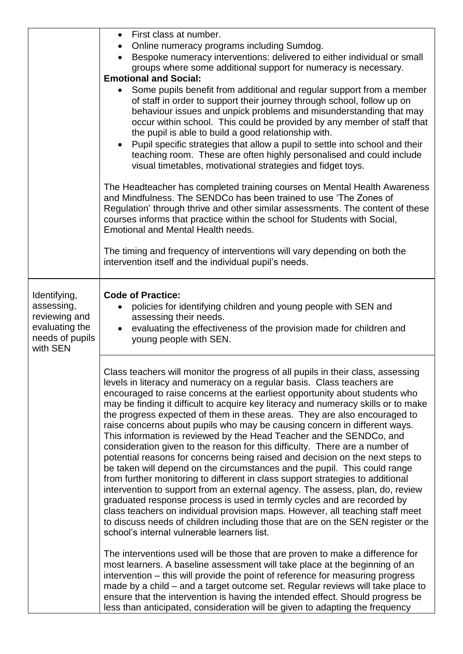|                                                                                              | First class at number.<br>$\bullet$<br>Online numeracy programs including Sumdog.<br>Bespoke numeracy interventions: delivered to either individual or small<br>groups where some additional support for numeracy is necessary.<br><b>Emotional and Social:</b><br>Some pupils benefit from additional and regular support from a member<br>of staff in order to support their journey through school, follow up on<br>behaviour issues and unpick problems and misunderstanding that may<br>occur within school. This could be provided by any member of staff that<br>the pupil is able to build a good relationship with.<br>Pupil specific strategies that allow a pupil to settle into school and their<br>teaching room. These are often highly personalised and could include<br>visual timetables, motivational strategies and fidget toys.<br>The Headteacher has completed training courses on Mental Health Awareness<br>and Mindfulness. The SENDCo has been trained to use 'The Zones of<br>Regulation' through thrive and other similar assessments. The content of these<br>courses informs that practice within the school for Students with Social,<br>Emotional and Mental Health needs.<br>The timing and frequency of interventions will vary depending on both the<br>intervention itself and the individual pupil's needs.                                                                                                                                                                                                                                                                                                                                                                                                                                        |
|----------------------------------------------------------------------------------------------|-----------------------------------------------------------------------------------------------------------------------------------------------------------------------------------------------------------------------------------------------------------------------------------------------------------------------------------------------------------------------------------------------------------------------------------------------------------------------------------------------------------------------------------------------------------------------------------------------------------------------------------------------------------------------------------------------------------------------------------------------------------------------------------------------------------------------------------------------------------------------------------------------------------------------------------------------------------------------------------------------------------------------------------------------------------------------------------------------------------------------------------------------------------------------------------------------------------------------------------------------------------------------------------------------------------------------------------------------------------------------------------------------------------------------------------------------------------------------------------------------------------------------------------------------------------------------------------------------------------------------------------------------------------------------------------------------------------------------------------------------------------------------------------------|
| Identifying,<br>assessing,<br>reviewing and<br>evaluating the<br>needs of pupils<br>with SEN | <b>Code of Practice:</b><br>policies for identifying children and young people with SEN and<br>assessing their needs.<br>evaluating the effectiveness of the provision made for children and<br>young people with SEN.                                                                                                                                                                                                                                                                                                                                                                                                                                                                                                                                                                                                                                                                                                                                                                                                                                                                                                                                                                                                                                                                                                                                                                                                                                                                                                                                                                                                                                                                                                                                                                  |
|                                                                                              | Class teachers will monitor the progress of all pupils in their class, assessing<br>levels in literacy and numeracy on a regular basis. Class teachers are<br>encouraged to raise concerns at the earliest opportunity about students who<br>may be finding it difficult to acquire key literacy and numeracy skills or to make<br>the progress expected of them in these areas. They are also encouraged to<br>raise concerns about pupils who may be causing concern in different ways.<br>This information is reviewed by the Head Teacher and the SENDCo, and<br>consideration given to the reason for this difficulty. There are a number of<br>potential reasons for concerns being raised and decision on the next steps to<br>be taken will depend on the circumstances and the pupil. This could range<br>from further monitoring to different in class support strategies to additional<br>intervention to support from an external agency. The assess, plan, do, review<br>graduated response process is used in termly cycles and are recorded by<br>class teachers on individual provision maps. However, all teaching staff meet<br>to discuss needs of children including those that are on the SEN register or the<br>school's internal vulnerable learners list.<br>The interventions used will be those that are proven to make a difference for<br>most learners. A baseline assessment will take place at the beginning of an<br>intervention – this will provide the point of reference for measuring progress<br>made by a child – and a target outcome set. Regular reviews will take place to<br>ensure that the intervention is having the intended effect. Should progress be<br>less than anticipated, consideration will be given to adapting the frequency |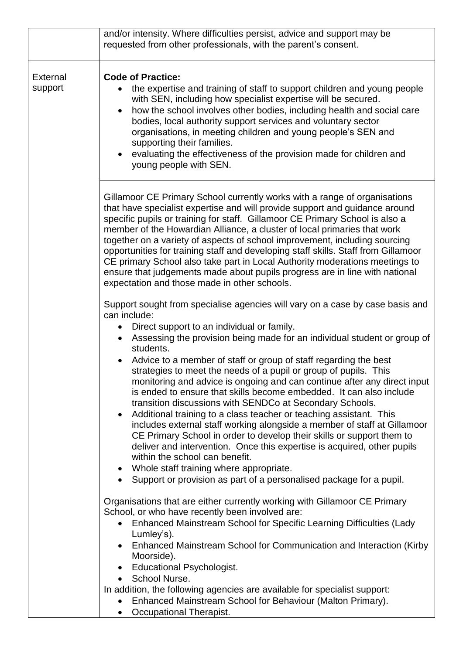|                     | and/or intensity. Where difficulties persist, advice and support may be<br>requested from other professionals, with the parent's consent.                                                                                                                                                                                                                                                                                                                                                                                                                                                                                                                                                                                                                                                                                                                                                                                                                                         |
|---------------------|-----------------------------------------------------------------------------------------------------------------------------------------------------------------------------------------------------------------------------------------------------------------------------------------------------------------------------------------------------------------------------------------------------------------------------------------------------------------------------------------------------------------------------------------------------------------------------------------------------------------------------------------------------------------------------------------------------------------------------------------------------------------------------------------------------------------------------------------------------------------------------------------------------------------------------------------------------------------------------------|
| External<br>support | <b>Code of Practice:</b><br>the expertise and training of staff to support children and young people<br>with SEN, including how specialist expertise will be secured.<br>how the school involves other bodies, including health and social care<br>bodies, local authority support services and voluntary sector<br>organisations, in meeting children and young people's SEN and<br>supporting their families.<br>evaluating the effectiveness of the provision made for children and<br>young people with SEN.                                                                                                                                                                                                                                                                                                                                                                                                                                                                  |
|                     | Gillamoor CE Primary School currently works with a range of organisations<br>that have specialist expertise and will provide support and guidance around<br>specific pupils or training for staff. Gillamoor CE Primary School is also a<br>member of the Howardian Alliance, a cluster of local primaries that work<br>together on a variety of aspects of school improvement, including sourcing<br>opportunities for training staff and developing staff skills. Staff from Gillamoor<br>CE primary School also take part in Local Authority moderations meetings to<br>ensure that judgements made about pupils progress are in line with national<br>expectation and those made in other schools.<br>Support sought from specialise agencies will vary on a case by case basis and                                                                                                                                                                                           |
|                     | can include:<br>Direct support to an individual or family.<br>Assessing the provision being made for an individual student or group of<br>students.<br>Advice to a member of staff or group of staff regarding the best<br>strategies to meet the needs of a pupil or group of pupils. This<br>monitoring and advice is ongoing and can continue after any direct input<br>is ended to ensure that skills become embedded. It can also include<br>transition discussions with SENDCo at Secondary Schools.<br>Additional training to a class teacher or teaching assistant. This<br>includes external staff working alongside a member of staff at Gillamoor<br>CE Primary School in order to develop their skills or support them to<br>deliver and intervention. Once this expertise is acquired, other pupils<br>within the school can benefit.<br>Whole staff training where appropriate.<br>Support or provision as part of a personalised package for a pupil.<br>$\bullet$ |
|                     | Organisations that are either currently working with Gillamoor CE Primary<br>School, or who have recently been involved are:<br>Enhanced Mainstream School for Specific Learning Difficulties (Lady<br>Lumley's).<br>Enhanced Mainstream School for Communication and Interaction (Kirby<br>Moorside).<br><b>Educational Psychologist.</b><br>School Nurse.<br>In addition, the following agencies are available for specialist support:<br>Enhanced Mainstream School for Behaviour (Malton Primary).<br>Occupational Therapist.                                                                                                                                                                                                                                                                                                                                                                                                                                                 |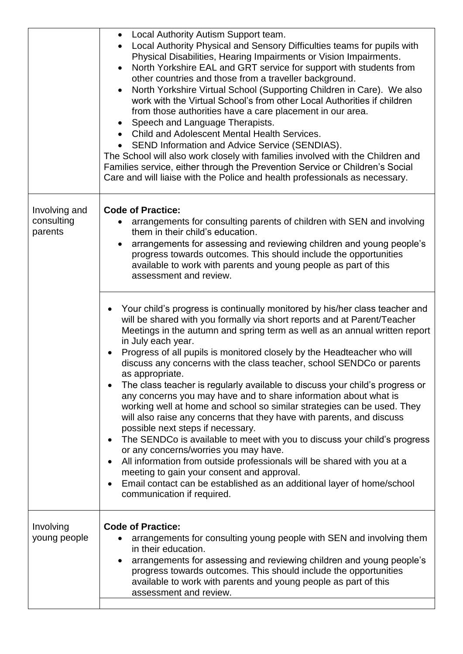|                                        | Local Authority Autism Support team.<br>Local Authority Physical and Sensory Difficulties teams for pupils with<br>Physical Disabilities, Hearing Impairments or Vision Impairments.<br>North Yorkshire EAL and GRT service for support with students from<br>other countries and those from a traveller background.<br>North Yorkshire Virtual School (Supporting Children in Care). We also<br>work with the Virtual School's from other Local Authorities if children<br>from those authorities have a care placement in our area.<br>Speech and Language Therapists.<br><b>Child and Adolescent Mental Health Services.</b><br>• SEND Information and Advice Service (SENDIAS).<br>The School will also work closely with families involved with the Children and<br>Families service, either through the Prevention Service or Children's Social<br>Care and will liaise with the Police and health professionals as necessary.                                                                                                                                                                                                   |
|----------------------------------------|----------------------------------------------------------------------------------------------------------------------------------------------------------------------------------------------------------------------------------------------------------------------------------------------------------------------------------------------------------------------------------------------------------------------------------------------------------------------------------------------------------------------------------------------------------------------------------------------------------------------------------------------------------------------------------------------------------------------------------------------------------------------------------------------------------------------------------------------------------------------------------------------------------------------------------------------------------------------------------------------------------------------------------------------------------------------------------------------------------------------------------------|
| Involving and<br>consulting<br>parents | <b>Code of Practice:</b><br>arrangements for consulting parents of children with SEN and involving<br>them in their child's education.<br>arrangements for assessing and reviewing children and young people's<br>progress towards outcomes. This should include the opportunities<br>available to work with parents and young people as part of this<br>assessment and review.                                                                                                                                                                                                                                                                                                                                                                                                                                                                                                                                                                                                                                                                                                                                                        |
|                                        | Your child's progress is continually monitored by his/her class teacher and<br>will be shared with you formally via short reports and at Parent/Teacher<br>Meetings in the autumn and spring term as well as an annual written report<br>in July each year.<br>Progress of all pupils is monitored closely by the Headteacher who will<br>discuss any concerns with the class teacher, school SENDCo or parents<br>as appropriate.<br>The class teacher is regularly available to discuss your child's progress or<br>any concerns you may have and to share information about what is<br>working well at home and school so similar strategies can be used. They<br>will also raise any concerns that they have with parents, and discuss<br>possible next steps if necessary.<br>The SENDCo is available to meet with you to discuss your child's progress<br>or any concerns/worries you may have.<br>All information from outside professionals will be shared with you at a<br>meeting to gain your consent and approval.<br>Email contact can be established as an additional layer of home/school<br>communication if required. |
| Involving<br>young people              | <b>Code of Practice:</b><br>arrangements for consulting young people with SEN and involving them<br>in their education.<br>arrangements for assessing and reviewing children and young people's<br>progress towards outcomes. This should include the opportunities<br>available to work with parents and young people as part of this<br>assessment and review.                                                                                                                                                                                                                                                                                                                                                                                                                                                                                                                                                                                                                                                                                                                                                                       |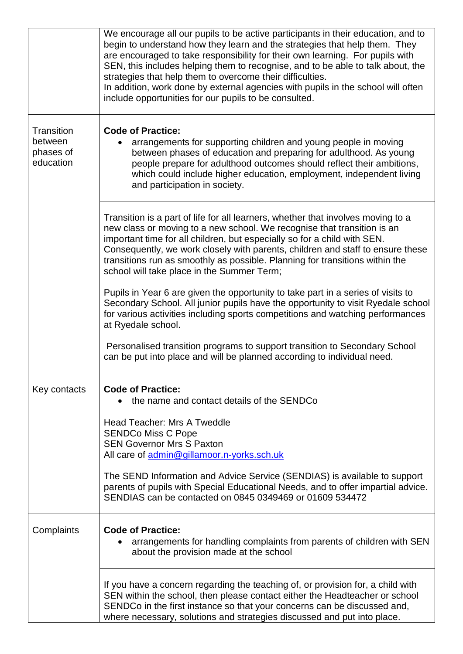|                                                 | We encourage all our pupils to be active participants in their education, and to<br>begin to understand how they learn and the strategies that help them. They<br>are encouraged to take responsibility for their own learning. For pupils with<br>SEN, this includes helping them to recognise, and to be able to talk about, the<br>strategies that help them to overcome their difficulties.<br>In addition, work done by external agencies with pupils in the school will often<br>include opportunities for our pupils to be consulted. |
|-------------------------------------------------|----------------------------------------------------------------------------------------------------------------------------------------------------------------------------------------------------------------------------------------------------------------------------------------------------------------------------------------------------------------------------------------------------------------------------------------------------------------------------------------------------------------------------------------------|
| Transition<br>between<br>phases of<br>education | <b>Code of Practice:</b><br>arrangements for supporting children and young people in moving<br>between phases of education and preparing for adulthood. As young<br>people prepare for adulthood outcomes should reflect their ambitions,<br>which could include higher education, employment, independent living<br>and participation in society.                                                                                                                                                                                           |
|                                                 | Transition is a part of life for all learners, whether that involves moving to a<br>new class or moving to a new school. We recognise that transition is an<br>important time for all children, but especially so for a child with SEN.<br>Consequently, we work closely with parents, children and staff to ensure these<br>transitions run as smoothly as possible. Planning for transitions within the<br>school will take place in the Summer Term;                                                                                      |
|                                                 | Pupils in Year 6 are given the opportunity to take part in a series of visits to<br>Secondary School. All junior pupils have the opportunity to visit Ryedale school<br>for various activities including sports competitions and watching performances<br>at Ryedale school.                                                                                                                                                                                                                                                                 |
|                                                 | Personalised transition programs to support transition to Secondary School<br>can be put into place and will be planned according to individual need.                                                                                                                                                                                                                                                                                                                                                                                        |
| Key contacts                                    | <b>Code of Practice:</b><br>the name and contact details of the SENDCo                                                                                                                                                                                                                                                                                                                                                                                                                                                                       |
|                                                 | <b>Head Teacher: Mrs A Tweddle</b><br><b>SENDCo Miss C Pope</b><br><b>SEN Governor Mrs S Paxton</b><br>All care of admin@gillamoor.n-yorks.sch.uk                                                                                                                                                                                                                                                                                                                                                                                            |
|                                                 | The SEND Information and Advice Service (SENDIAS) is available to support<br>parents of pupils with Special Educational Needs, and to offer impartial advice.<br>SENDIAS can be contacted on 0845 0349469 or 01609 534472                                                                                                                                                                                                                                                                                                                    |
| Complaints                                      | <b>Code of Practice:</b><br>arrangements for handling complaints from parents of children with SEN<br>about the provision made at the school                                                                                                                                                                                                                                                                                                                                                                                                 |
|                                                 | If you have a concern regarding the teaching of, or provision for, a child with<br>SEN within the school, then please contact either the Headteacher or school<br>SENDCo in the first instance so that your concerns can be discussed and,<br>where necessary, solutions and strategies discussed and put into place.                                                                                                                                                                                                                        |